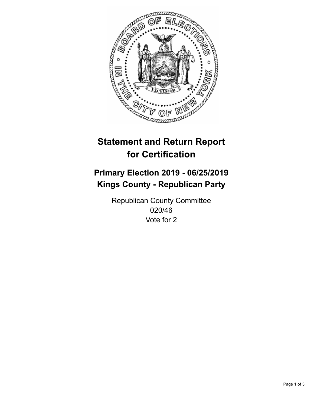

## **Statement and Return Report for Certification**

## **Primary Election 2019 - 06/25/2019 Kings County - Republican Party**

Republican County Committee 020/46 Vote for 2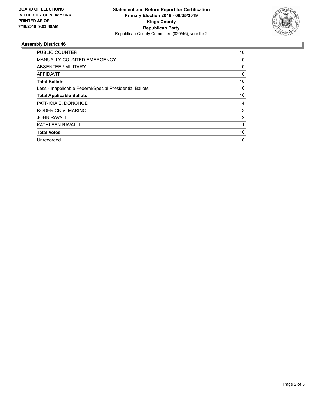

## **Assembly District 46**

| <b>PUBLIC COUNTER</b>                                    | 10       |
|----------------------------------------------------------|----------|
| <b>MANUALLY COUNTED EMERGENCY</b>                        | 0        |
| ABSENTEE / MILITARY                                      | 0        |
| AFFIDAVIT                                                | $\Omega$ |
| <b>Total Ballots</b>                                     | 10       |
| Less - Inapplicable Federal/Special Presidential Ballots | 0        |
| <b>Total Applicable Ballots</b>                          | 10       |
| PATRICIA E. DONOHOE                                      | 4        |
| RODERICK V. MARINO                                       | 3        |
| <b>JOHN RAVALLI</b>                                      | 2        |
| <b>KATHLEEN RAVALLI</b>                                  |          |
| <b>Total Votes</b>                                       | 10       |
| Unrecorded                                               | 10       |